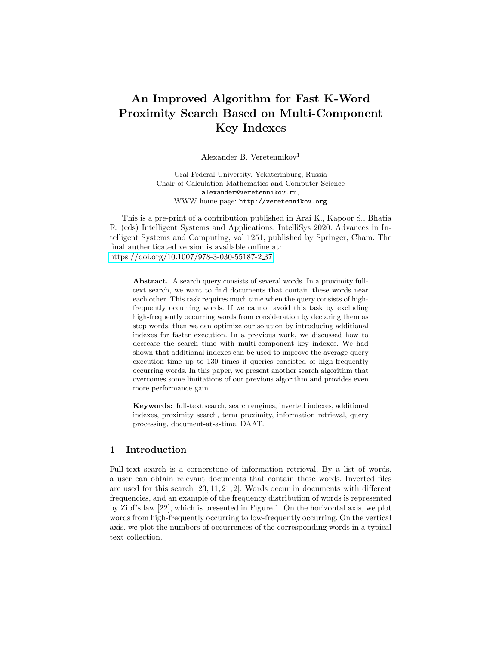# An Improved Algorithm for Fast K-Word Proximity Search Based on Multi-Component Key Indexes

Alexander B. Veretennikov<sup>1</sup>

Ural Federal University, Yekaterinburg, Russia Chair of Calculation Mathematics and Computer Science alexander@veretennikov.ru, WWW home page: http://veretennikov.org

This is a pre-print of a contribution published in Arai K., Kapoor S., Bhatia R. (eds) Intelligent Systems and Applications. IntelliSys 2020. Advances in Intelligent Systems and Computing, vol 1251, published by Springer, Cham. The final authenticated version is available online at: [https://doi.org/10.1007/978-3-030-55187-2](https://doi.org/10.1007/978-3-030-55187-2_37) 37.

Abstract. A search query consists of several words. In a proximity fulltext search, we want to find documents that contain these words near each other. This task requires much time when the query consists of highfrequently occurring words. If we cannot avoid this task by excluding high-frequently occurring words from consideration by declaring them as stop words, then we can optimize our solution by introducing additional indexes for faster execution. In a previous work, we discussed how to decrease the search time with multi-component key indexes. We had shown that additional indexes can be used to improve the average query execution time up to 130 times if queries consisted of high-frequently occurring words. In this paper, we present another search algorithm that overcomes some limitations of our previous algorithm and provides even more performance gain.

Keywords: full-text search, search engines, inverted indexes, additional indexes, proximity search, term proximity, information retrieval, query processing, document-at-a-time, DAAT.

# 1 Introduction

Full-text search is a cornerstone of information retrieval. By a list of words, a user can obtain relevant documents that contain these words. Inverted files are used for this search [23, 11, 21, 2]. Words occur in documents with different frequencies, and an example of the frequency distribution of words is represented by Zipf's law [22], which is presented in Figure 1. On the horizontal axis, we plot words from high-frequently occurring to low-frequently occurring. On the vertical axis, we plot the numbers of occurrences of the corresponding words in a typical text collection.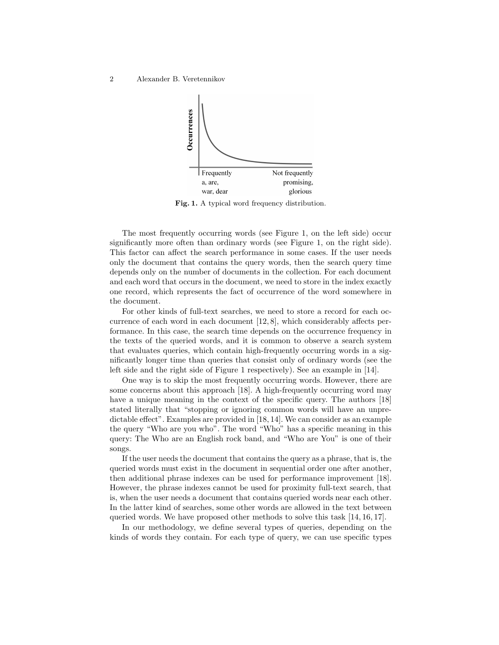

Fig. 1. A typical word frequency distribution.

The most frequently occurring words (see Figure 1, on the left side) occur significantly more often than ordinary words (see Figure 1, on the right side). This factor can affect the search performance in some cases. If the user needs only the document that contains the query words, then the search query time depends only on the number of documents in the collection. For each document and each word that occurs in the document, we need to store in the index exactly one record, which represents the fact of occurrence of the word somewhere in the document.

For other kinds of full-text searches, we need to store a record for each occurrence of each word in each document [12, 8], which considerably affects performance. In this case, the search time depends on the occurrence frequency in the texts of the queried words, and it is common to observe a search system that evaluates queries, which contain high-frequently occurring words in a significantly longer time than queries that consist only of ordinary words (see the left side and the right side of Figure 1 respectively). See an example in [14].

One way is to skip the most frequently occurring words. However, there are some concerns about this approach [18]. A high-frequently occurring word may have a unique meaning in the context of the specific query. The authors [18] stated literally that "stopping or ignoring common words will have an unpredictable effect". Examples are provided in [18, 14]. We can consider as an example the query "Who are you who". The word "Who" has a specific meaning in this query: The Who are an English rock band, and "Who are You" is one of their songs.

If the user needs the document that contains the query as a phrase, that is, the queried words must exist in the document in sequential order one after another, then additional phrase indexes can be used for performance improvement [18]. However, the phrase indexes cannot be used for proximity full-text search, that is, when the user needs a document that contains queried words near each other. In the latter kind of searches, some other words are allowed in the text between queried words. We have proposed other methods to solve this task [14, 16, 17].

In our methodology, we define several types of queries, depending on the kinds of words they contain. For each type of query, we can use specific types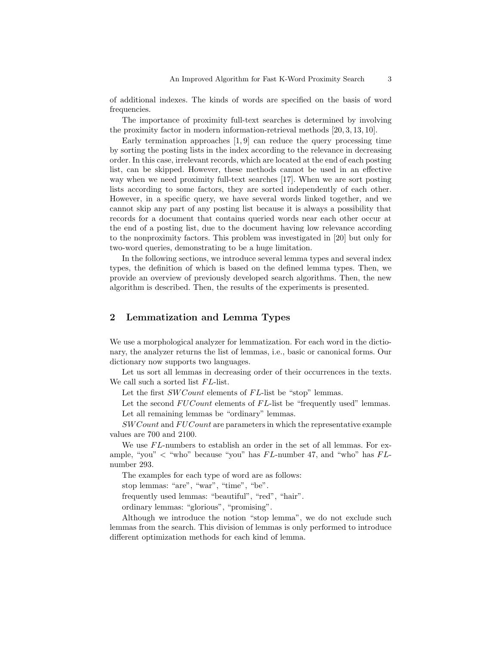of additional indexes. The kinds of words are specified on the basis of word frequencies.

The importance of proximity full-text searches is determined by involving the proximity factor in modern information-retrieval methods [20, 3, 13, 10].

Early termination approaches  $[1, 9]$  can reduce the query processing time by sorting the posting lists in the index according to the relevance in decreasing order. In this case, irrelevant records, which are located at the end of each posting list, can be skipped. However, these methods cannot be used in an effective way when we need proximity full-text searches [17]. When we are sort posting lists according to some factors, they are sorted independently of each other. However, in a specific query, we have several words linked together, and we cannot skip any part of any posting list because it is always a possibility that records for a document that contains queried words near each other occur at the end of a posting list, due to the document having low relevance according to the nonproximity factors. This problem was investigated in [20] but only for two-word queries, demonstrating to be a huge limitation.

In the following sections, we introduce several lemma types and several index types, the definition of which is based on the defined lemma types. Then, we provide an overview of previously developed search algorithms. Then, the new algorithm is described. Then, the results of the experiments is presented.

# 2 Lemmatization and Lemma Types

We use a morphological analyzer for lemmatization. For each word in the dictionary, the analyzer returns the list of lemmas, i.e., basic or canonical forms. Our dictionary now supports two languages.

Let us sort all lemmas in decreasing order of their occurrences in the texts. We call such a sorted list  $FL$ -list.

Let the first *SW Count* elements of *FL*-list be "stop" lemmas.

Let the second  $FUCount$  elements of  $FL$ -list be "frequently used" lemmas. Let all remaining lemmas be "ordinary" lemmas.

 $SWCount$  and  $FUCount$  are parameters in which the representative example values are 700 and 2100.

We use  $FL$ -numbers to establish an order in the set of all lemmas. For example, "you"  $\lt$  "who" because "you" has FL-number 47, and "who" has FLnumber 293.

The examples for each type of word are as follows:

stop lemmas: "are", "war", "time", "be".

frequently used lemmas: "beautiful", "red", "hair".

ordinary lemmas: "glorious", "promising".

Although we introduce the notion "stop lemma", we do not exclude such lemmas from the search. This division of lemmas is only performed to introduce different optimization methods for each kind of lemma.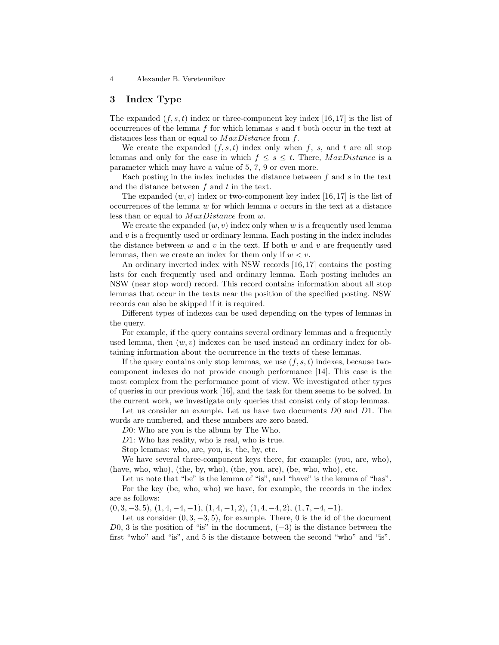# 3 Index Type

The expanded  $(f, s, t)$  index or three-component key index [16, 17] is the list of occurrences of the lemma f for which lemmas s and t both occur in the text at distances less than or equal to  $MaxDistance$  from f.

We create the expanded  $(f, s, t)$  index only when f, s, and t are all stop lemmas and only for the case in which  $f \leq s \leq t$ . There,  $MaxDistance$  is a parameter which may have a value of 5, 7, 9 or even more.

Each posting in the index includes the distance between  $f$  and  $s$  in the text and the distance between  $f$  and  $t$  in the text.

The expanded  $(w, v)$  index or two-component key index [16, 17] is the list of occurrences of the lemma  $w$  for which lemma  $v$  occurs in the text at a distance less than or equal to  $MaxDistance$  from w.

We create the expanded  $(w, v)$  index only when w is a frequently used lemma and  $v$  is a frequently used or ordinary lemma. Each posting in the index includes the distance between  $w$  and  $v$  in the text. If both  $w$  and  $v$  are frequently used lemmas, then we create an index for them only if  $w < v$ .

An ordinary inverted index with NSW records [16, 17] contains the posting lists for each frequently used and ordinary lemma. Each posting includes an NSW (near stop word) record. This record contains information about all stop lemmas that occur in the texts near the position of the specified posting. NSW records can also be skipped if it is required.

Different types of indexes can be used depending on the types of lemmas in the query.

For example, if the query contains several ordinary lemmas and a frequently used lemma, then  $(w, v)$  indexes can be used instead an ordinary index for obtaining information about the occurrence in the texts of these lemmas.

If the query contains only stop lemmas, we use  $(f, s, t)$  indexes, because twocomponent indexes do not provide enough performance [14]. This case is the most complex from the performance point of view. We investigated other types of queries in our previous work [16], and the task for them seems to be solved. In the current work, we investigate only queries that consist only of stop lemmas.

Let us consider an example. Let us have two documents  $D0$  and  $D1$ . The words are numbered, and these numbers are zero based.

D0: Who are you is the album by The Who.

D1: Who has reality, who is real, who is true.

Stop lemmas: who, are, you, is, the, by, etc.

We have several three-component keys there, for example: (you, are, who), (have, who, who), (the, by, who), (the, you, are), (be, who, who), etc.

Let us note that "be" is the lemma of "is", and "have" is the lemma of "has". For the key (be, who, who) we have, for example, the records in the index are as follows:

 $(0, 3, -3, 5), (1, 4, -4, -1), (1, 4, -1, 2), (1, 4, -4, 2), (1, 7, -4, -1).$ 

Let us consider  $(0, 3, -3, 5)$ , for example. There, 0 is the id of the document  $D0, 3$  is the position of "is" in the document,  $(-3)$  is the distance between the first "who" and "is", and 5 is the distance between the second "who" and "is".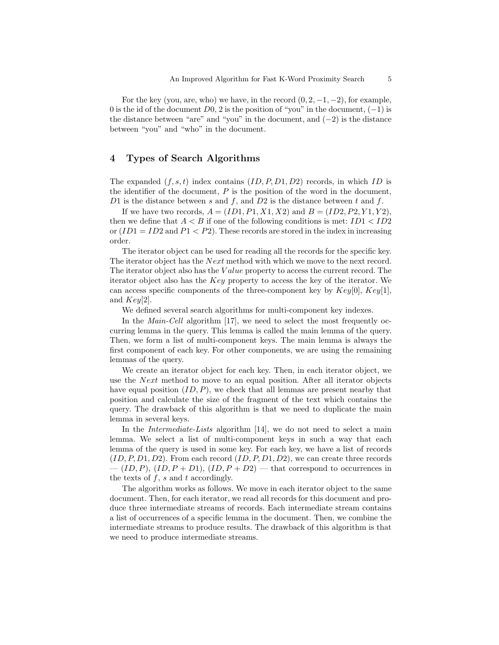For the key (you, are, who) we have, in the record  $(0, 2, -1, -2)$ , for example, 0 is the id of the document  $D0$ , 2 is the position of "you" in the document,  $(-1)$  is the distance between "are" and "you" in the document, and  $(-2)$  is the distance between "you" and "who" in the document.

# 4 Types of Search Algorithms

The expanded  $(f, s, t)$  index contains  $(ID, P, D1, D2)$  records, in which ID is the identifier of the document,  $P$  is the position of the word in the document, D1 is the distance between s and f, and D2 is the distance between t and f.

If we have two records,  $A = (ID1, P1, X1, X2)$  and  $B = (ID2, P2, Y1, Y2)$ , then we define that  $A < B$  if one of the following conditions is met:  $ID1 < ID2$ or  $(ID = ID2$  and  $P1 < P2$ ). These records are stored in the index in increasing order.

The iterator object can be used for reading all the records for the specific key. The iterator object has the *Next* method with which we move to the next record. The iterator object also has the Value property to access the current record. The iterator object also has the  $Key$  property to access the key of the iterator. We can access specific components of the three-component key by  $Key[0], Key[1],$ and  $Key[2]$ .

We defined several search algorithms for multi-component key indexes.

In the *Main-Cell* algorithm [17], we need to select the most frequently occurring lemma in the query. This lemma is called the main lemma of the query. Then, we form a list of multi-component keys. The main lemma is always the first component of each key. For other components, we are using the remaining lemmas of the query.

We create an iterator object for each key. Then, in each iterator object, we use the Next method to move to an equal position. After all iterator objects have equal position  $(ID, P)$ , we check that all lemmas are present nearby that position and calculate the size of the fragment of the text which contains the query. The drawback of this algorithm is that we need to duplicate the main lemma in several keys.

In the *Intermediate-Lists* algorithm [14], we do not need to select a main lemma. We select a list of multi-component keys in such a way that each lemma of the query is used in some key. For each key, we have a list of records  $(ID, P, D1, D2)$ . From each record  $(ID, P, D1, D2)$ , we can create three records  $-(ID, P), (ID, P + D), (ID, P + D2)$  — that correspond to occurrences in the texts of  $f$ ,  $s$  and  $t$  accordingly.

The algorithm works as follows. We move in each iterator object to the same document. Then, for each iterator, we read all records for this document and produce three intermediate streams of records. Each intermediate stream contains a list of occurrences of a specific lemma in the document. Then, we combine the intermediate streams to produce results. The drawback of this algorithm is that we need to produce intermediate streams.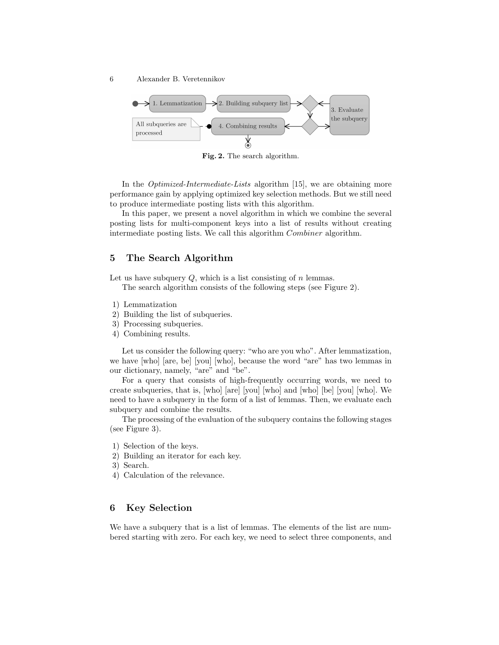

Fig. 2. The search algorithm.

In the *Optimized-Intermediate-Lists* algorithm [15], we are obtaining more performance gain by applying optimized key selection methods. But we still need to produce intermediate posting lists with this algorithm.

In this paper, we present a novel algorithm in which we combine the several posting lists for multi-component keys into a list of results without creating intermediate posting lists. We call this algorithm Combiner algorithm.

# 5 The Search Algorithm

Let us have subquery  $Q$ , which is a list consisting of  $n$  lemmas.

The search algorithm consists of the following steps (see Figure 2).

- 1) Lemmatization
- 2) Building the list of subqueries.
- 3) Processing subqueries.
- 4) Combining results.

Let us consider the following query: "who are you who". After lemmatization, we have [who] [are, be] [you] [who], because the word "are" has two lemmas in our dictionary, namely, "are" and "be".

For a query that consists of high-frequently occurring words, we need to create subqueries, that is, [who] [are] [you] [who] and [who] [be] [you] [who]. We need to have a subquery in the form of a list of lemmas. Then, we evaluate each subquery and combine the results.

The processing of the evaluation of the subquery contains the following stages (see Figure 3).

- 1) Selection of the keys.
- 2) Building an iterator for each key.
- 3) Search.
- 4) Calculation of the relevance.

# 6 Key Selection

We have a subquery that is a list of lemmas. The elements of the list are numbered starting with zero. For each key, we need to select three components, and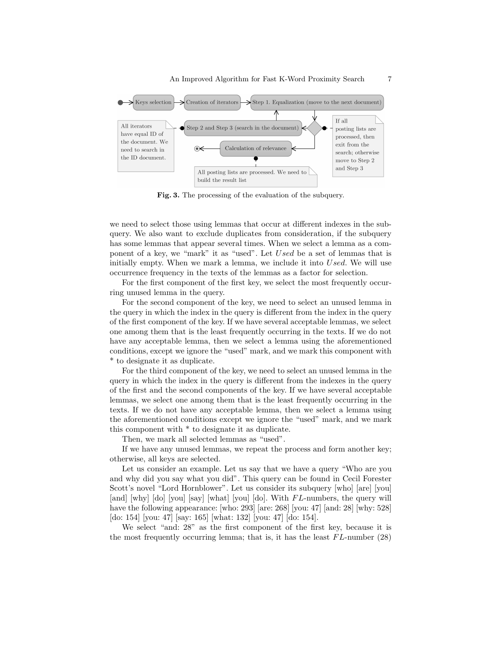

Fig. 3. The processing of the evaluation of the subquery.

we need to select those using lemmas that occur at different indexes in the subquery. We also want to exclude duplicates from consideration, if the subquery has some lemmas that appear several times. When we select a lemma as a component of a key, we "mark" it as "used". Let Used be a set of lemmas that is initially empty. When we mark a lemma, we include it into  $Used$ . We will use occurrence frequency in the texts of the lemmas as a factor for selection.

For the first component of the first key, we select the most frequently occurring unused lemma in the query.

For the second component of the key, we need to select an unused lemma in the query in which the index in the query is different from the index in the query of the first component of the key. If we have several acceptable lemmas, we select one among them that is the least frequently occurring in the texts. If we do not have any acceptable lemma, then we select a lemma using the aforementioned conditions, except we ignore the "used" mark, and we mark this component with \* to designate it as duplicate.

For the third component of the key, we need to select an unused lemma in the query in which the index in the query is different from the indexes in the query of the first and the second components of the key. If we have several acceptable lemmas, we select one among them that is the least frequently occurring in the texts. If we do not have any acceptable lemma, then we select a lemma using the aforementioned conditions except we ignore the "used" mark, and we mark this component with \* to designate it as duplicate.

Then, we mark all selected lemmas as "used".

If we have any unused lemmas, we repeat the process and form another key; otherwise, all keys are selected.

Let us consider an example. Let us say that we have a query "Who are you and why did you say what you did". This query can be found in Cecil Forester Scott's novel "Lord Hornblower". Let us consider its subquery [who] [are] [you] [and]  $[why]$  [do]  $[you]$  [say]  $[what]$  [you] [do]. With  $FL$ -numbers, the query will have the following appearance: [who: 293] [are: 268] [you: 47] [and: 28] [why: 528] [do: 154] [you: 47] [say: 165] [what: 132] [you: 47] [do: 154].

We select "and:  $28$ " as the first component of the first key, because it is the most frequently occurring lemma; that is, it has the least  $FL$ -number  $(28)$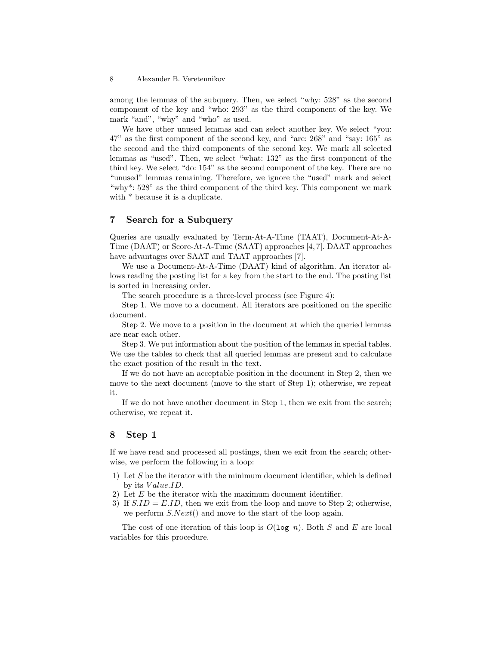among the lemmas of the subquery. Then, we select "why: 528" as the second component of the key and "who: 293" as the third component of the key. We mark "and", "why" and "who" as used.

We have other unused lemmas and can select another key. We select "you: 47" as the first component of the second key, and "are: 268" and "say: 165" as the second and the third components of the second key. We mark all selected lemmas as "used". Then, we select "what: 132" as the first component of the third key. We select "do: 154" as the second component of the key. There are no "unused" lemmas remaining. Therefore, we ignore the "used" mark and select "why\*: 528" as the third component of the third key. This component we mark with  $*$  because it is a duplicate.

### 7 Search for a Subquery

Queries are usually evaluated by Term-At-A-Time (TAAT), Document-At-A-Time (DAAT) or Score-At-A-Time (SAAT) approaches [4, 7]. DAAT approaches have advantages over SAAT and TAAT approaches [7].

We use a Document-At-A-Time (DAAT) kind of algorithm. An iterator allows reading the posting list for a key from the start to the end. The posting list is sorted in increasing order.

The search procedure is a three-level process (see Figure 4):

Step 1. We move to a document. All iterators are positioned on the specific document.

Step 2. We move to a position in the document at which the queried lemmas are near each other.

Step 3. We put information about the position of the lemmas in special tables. We use the tables to check that all queried lemmas are present and to calculate the exact position of the result in the text.

If we do not have an acceptable position in the document in Step 2, then we move to the next document (move to the start of Step 1); otherwise, we repeat it.

If we do not have another document in Step 1, then we exit from the search; otherwise, we repeat it.

# 8 Step 1

If we have read and processed all postings, then we exit from the search; otherwise, we perform the following in a loop:

- 1) Let S be the iterator with the minimum document identifier, which is defined by its *Value.ID*.
- 2) Let E be the iterator with the maximum document identifier.
- 3) If  $S.ID = E.ID$ , then we exit from the loop and move to Step 2; otherwise, we perform  $S.Next()$  and move to the start of the loop again.

The cost of one iteration of this loop is  $O(\log n)$ . Both S and E are local variables for this procedure.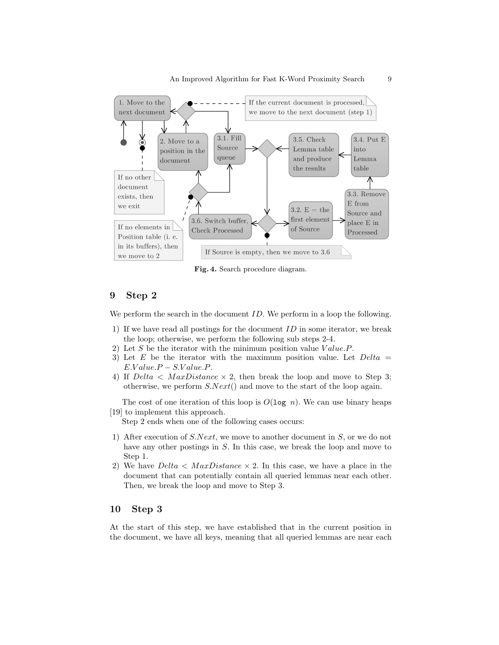

Fig. 4. Search procedure diagram.

# 9 Step 2

We perform the search in the document ID. We perform in a loop the following.

- 1) If we have read all postings for the document ID in some iterator, we break the loop; otherwise, we perform the following sub steps 2-4.
- 2) Let S be the iterator with the minimum position value  $Value.P$ .
- 3) Let E be the iterator with the maximum position value. Let  $Delta =$  $E.Value.P - S.Value.P.$
- 4) If  $Delta < MaxDistance \times 2$ , then break the loop and move to Step 3; otherwise, we perform  $S. Next$ ) and move to the start of the loop again.

The cost of one iteration of this loop is  $O(\log n)$ . We can use binary heaps [19] to implement this approach.

Step 2 ends when one of the following cases occurs:

- 1) After execution of  $S.Next$ , we move to another document in  $S$ , or we do not have any other postings in S. In this case, we break the loop and move to Step 1.
- 2) We have  $Delta < MaxDistance \times 2$ . In this case, we have a place in the document that can potentially contain all queried lemmas near each other. Then, we break the loop and move to Step 3.

# 10 Step 3

At the start of this step, we have established that in the current position in the document, we have all keys, meaning that all queried lemmas are near each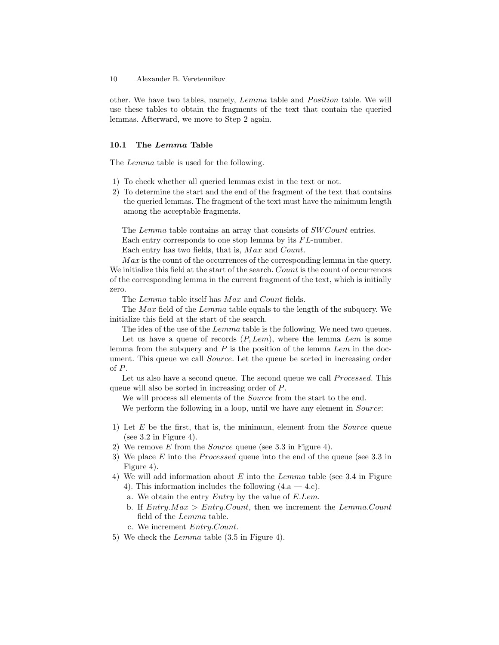other. We have two tables, namely, Lemma table and Position table. We will use these tables to obtain the fragments of the text that contain the queried lemmas. Afterward, we move to Step 2 again.

#### 10.1 The Lemma Table

The *Lemma* table is used for the following.

- 1) To check whether all queried lemmas exist in the text or not.
- 2) To determine the start and the end of the fragment of the text that contains the queried lemmas. The fragment of the text must have the minimum length among the acceptable fragments.

The Lemma table contains an array that consists of SW Count entries. Each entry corresponds to one stop lemma by its  $FL$ -number.

Each entry has two fields, that is,  $Max$  and  $Count$ .

 $Max$  is the count of the occurrences of the corresponding lemma in the query. We initialize this field at the start of the search. Count is the count of occurrences of the corresponding lemma in the current fragment of the text, which is initially zero.

The Lemma table itself has Max and Count fields.

The  $Max$  field of the Lemma table equals to the length of the subquery. We initialize this field at the start of the search.

The idea of the use of the *Lemma* table is the following. We need two queues.

Let us have a queue of records  $(P, Lem)$ , where the lemma  $Lem$  is some lemma from the subquery and  $P$  is the position of the lemma  $Lem$  in the document. This queue we call *Source*. Let the queue be sorted in increasing order of P.

Let us also have a second queue. The second queue we call *Processed*. This queue will also be sorted in increasing order of P.

We will process all elements of the *Source* from the start to the end.

We perform the following in a loop, until we have any element in *Source*:

- 1) Let  $E$  be the first, that is, the minimum, element from the *Source* queue (see  $3.2$  in Figure 4).
- 2) We remove E from the Source queue (see 3.3 in Figure 4).
- 3) We place  $E$  into the *Processed* queue into the end of the queue (see 3.3 in Figure 4).
- 4) We will add information about E into the Lemma table (see 3.4 in Figure 4). This information includes the following  $(4.a - 4.c)$ .
	- a. We obtain the entry  $Entry$  by the value of  $E.Lem$ .
	- b. If  $Entry.Max > EntryCount$ , then we increment the  $Lemma. Count$ field of the Lemma table.
	- c. We increment Entry.Count.
- 5) We check the Lemma table (3.5 in Figure 4).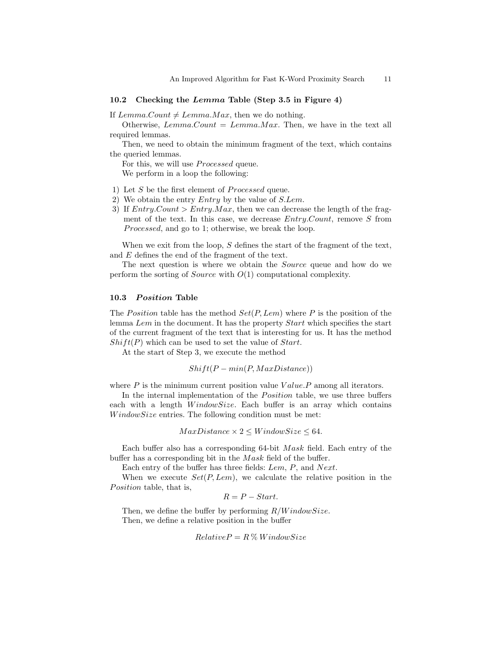#### 10.2 Checking the Lemma Table (Step 3.5 in Figure 4)

If Lemma.Count  $\neq$  Lemma.Max, then we do nothing.

Otherwise,  $Lemma. Count = Lemma. Max.$  Then, we have in the text all required lemmas.

Then, we need to obtain the minimum fragment of the text, which contains the queried lemmas.

For this, we will use *Processed* queue.

We perform in a loop the following:

- 1) Let  $S$  be the first element of *Processed* queue.
- 2) We obtain the entry  $Entry$  by the value of  $S.Lem$ .
- 3) If  $Entry. Count > Entry. Max$ , then we can decrease the length of the fragment of the text. In this case, we decrease Entry.Count, remove S from Processed, and go to 1; otherwise, we break the loop.

When we exit from the loop,  $S$  defines the start of the fragment of the text, and E defines the end of the fragment of the text.

The next question is where we obtain the Source queue and how do we perform the sorting of *Source* with  $O(1)$  computational complexity.

#### 10.3 Position Table

The *Position* table has the method  $Set(P, Lem)$  where *P* is the position of the lemma Lem in the document. It has the property Start which specifies the start of the current fragment of the text that is interesting for us. It has the method  $Shift(P)$  which can be used to set the value of *Start*.

At the start of Step 3, we execute the method

$$
Shift(P-min(P, MaxDistance))
$$

where  $P$  is the minimum current position value  $Value.P$  among all iterators.

In the internal implementation of the *Position* table, we use three buffers each with a length  $WindowSize$ . Each buffer is an array which contains  $Windowsize$  entries. The following condition must be met:

$$
MaxDistance \times 2 \leq WindowSize \leq 64.
$$

Each buffer also has a corresponding  $64$ -bit  $Mask$  field. Each entry of the buffer has a corresponding bit in the  $Mask$  field of the buffer.

Each entry of the buffer has three fields: Lem, P, and Next.

When we execute  $Set(P, Lem)$ , we calculate the relative position in the Position table, that is,

$$
R = P - Start.
$$

Then, we define the buffer by performing  $R/Wi n dowSize$ . Then, we define a relative position in the buffer

$$
Relative P = R\,\%\,WindowSize
$$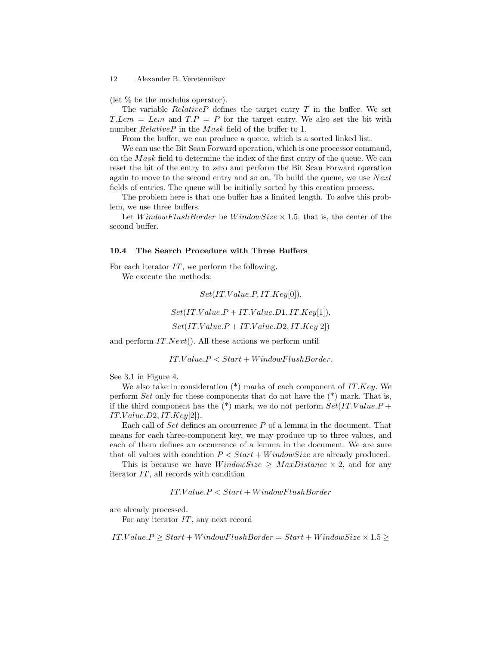(let % be the modulus operator).

The variable  $Relative P$  defines the target entry  $T$  in the buffer. We set  $T. Lem = Lem$  and  $T.P = P$  for the target entry. We also set the bit with number  $Relative P$  in the Mask field of the buffer to 1.

From the buffer, we can produce a queue, which is a sorted linked list.

We can use the Bit Scan Forward operation, which is one processor command, on the  $Mask$  field to determine the index of the first entry of the queue. We can reset the bit of the entry to zero and perform the Bit Scan Forward operation again to move to the second entry and so on. To build the queue, we use  $Next$ fields of entries. The queue will be initially sorted by this creation process.

The problem here is that one buffer has a limited length. To solve this problem, we use three buffers.

Let *WindowFlushBorder* be *WindowSize*  $\times$  1.5, that is, the center of the second buffer.

#### 10.4 The Search Procedure with Three Buffers

For each iterator  $IT$ , we perform the following. We execute the methods:

 $Set(IT.Value.P, IT.Key[0]),$ 

 $Set(IT.Value.P + IT. Value.D1, IT. Key[1]),$ 

 $Set(IT.Value.P + IT. Value.D2, IT. Key[2])$ 

and perform  $IT.Next()$ . All these actions we perform until

 $IT. Value.P < Start + WindowFlushBorder.$ 

See 3.1 in Figure 4.

We also take in consideration  $(*)$  marks of each component of IT.Key. We perform Set only for these components that do not have the (\*) mark. That is, if the third component has the  $(*)$  mark, we do not perform  $Set(IT.Value.P +$  $IT. Value.D2, IT. Key[2]).$ 

Each call of  $Set$  defines an occurrence  $P$  of a lemma in the document. That means for each three-component key, we may produce up to three values, and each of them defines an occurrence of a lemma in the document. We are sure that all values with condition  $P < Start + WindowSize$  are already produced.

This is because we have  $WindowSize \geq MaxDistance \times 2$ , and for any iterator  $IT$ , all records with condition

 $IT. Value.P < Start + WindowFlushBorder$ 

are already processed.

For any iterator  $IT$ , any next record

IT.Value. $P \geq Start + WindowFlushBorder = Start + WindowSize \times 1.5 \geq$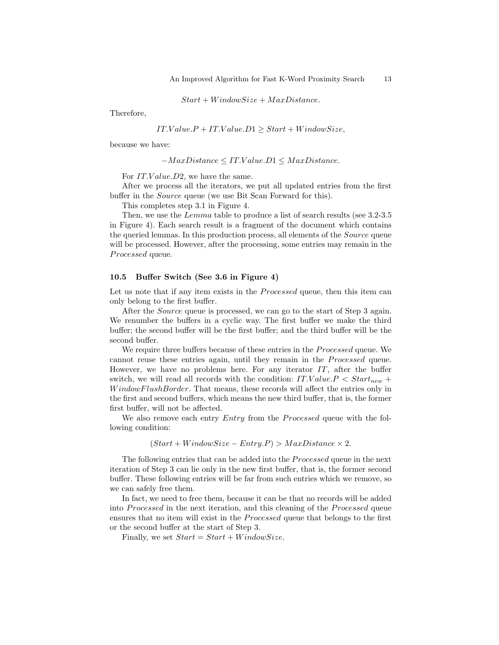$Start + WindowSize + MaxDistance.$ 

Therefore,

 $IT. Value.P + IT. Value.D1 \ge Start + WindowSize,$ 

because we have:

$$
-MaxDistance \le IT. Value.D1 \le MaxDistance.
$$

For IT.Value. D2, we have the same.

After we process all the iterators, we put all updated entries from the first buffer in the Source queue (we use Bit Scan Forward for this).

This completes step 3.1 in Figure 4.

Then, we use the Lemma table to produce a list of search results (see 3.2-3.5 in Figure 4). Each search result is a fragment of the document which contains the queried lemmas. In this production process, all elements of the *Source* queue will be processed. However, after the processing, some entries may remain in the Processed queue.

#### 10.5 Buffer Switch (See 3.6 in Figure 4)

Let us note that if any item exists in the *Processed* queue, then this item can only belong to the first buffer.

After the *Source* queue is processed, we can go to the start of Step 3 again. We renumber the buffers in a cyclic way. The first buffer we make the third buffer; the second buffer will be the first buffer; and the third buffer will be the second buffer.

We require three buffers because of these entries in the *Processed* queue. We cannot reuse these entries again, until they remain in the *Processed* queue. However, we have no problems here. For any iterator  $IT$ , after the buffer switch, we will read all records with the condition:  $IT. Value.P < Start_{new}$  + W indowFlushBorder. That means, these records will affect the entries only in the first and second buffers, which means the new third buffer, that is, the former first buffer, will not be affected.

We also remove each entry  $Entry$  from the *Processed* queue with the following condition:

$$
(Start + WindowSize - Entry.P) > MaxDistance \times 2.
$$

The following entries that can be added into the *Processed* queue in the next iteration of Step 3 can lie only in the new first buffer, that is, the former second buffer. These following entries will be far from such entries which we remove, so we can safely free them.

In fact, we need to free them, because it can be that no records will be added into Processed in the next iteration, and this cleaning of the Processed queue ensures that no item will exist in the *Processed* queue that belongs to the first or the second buffer at the start of Step 3.

Finally, we set  $Start = Start + WindowSize$ .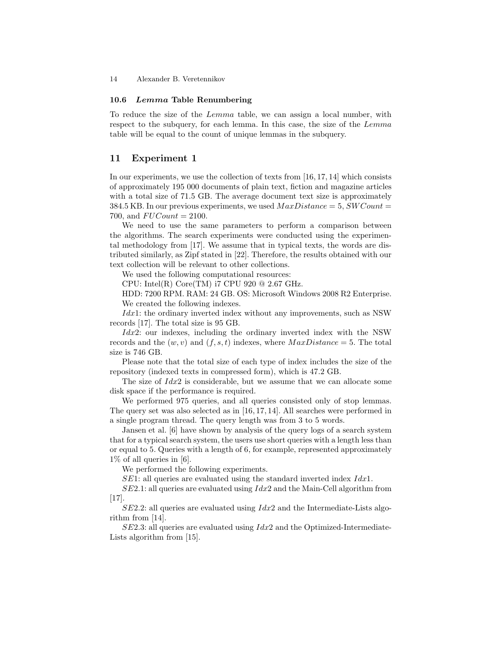#### 10.6 Lemma Table Renumbering

To reduce the size of the Lemma table, we can assign a local number, with respect to the subquery, for each lemma. In this case, the size of the Lemma table will be equal to the count of unique lemmas in the subquery.

#### 11 Experiment 1

In our experiments, we use the collection of texts from [16, 17, 14] which consists of approximately 195 000 documents of plain text, fiction and magazine articles with a total size of 71.5 GB. The average document text size is approximately 384.5 KB. In our previous experiments, we used  $MaxDistance = 5$ , SW Count = 700, and  $FUCount = 2100$ .

We need to use the same parameters to perform a comparison between the algorithms. The search experiments were conducted using the experimental methodology from [17]. We assume that in typical texts, the words are distributed similarly, as Zipf stated in [22]. Therefore, the results obtained with our text collection will be relevant to other collections.

We used the following computational resources:

CPU: Intel $(R)$  Core $(TM)$  i7 CPU 920  $@$  2.67 GHz.

HDD: 7200 RPM. RAM: 24 GB. OS: Microsoft Windows 2008 R2 Enterprise. We created the following indexes.

 $Idx1$ : the ordinary inverted index without any improvements, such as NSW records [17]. The total size is 95 GB.

Idx2: our indexes, including the ordinary inverted index with the NSW records and the  $(w, v)$  and  $(f, s, t)$  indexes, where  $MaxDistance = 5$ . The total size is 746 GB.

Please note that the total size of each type of index includes the size of the repository (indexed texts in compressed form), which is 47.2 GB.

The size of  $Idx2$  is considerable, but we assume that we can allocate some disk space if the performance is required.

We performed 975 queries, and all queries consisted only of stop lemmas. The query set was also selected as in [16, 17, 14]. All searches were performed in a single program thread. The query length was from 3 to 5 words.

Jansen et al. [6] have shown by analysis of the query logs of a search system that for a typical search system, the users use short queries with a length less than or equal to 5. Queries with a length of 6, for example, represented approximately 1% of all queries in [6].

We performed the following experiments.

 $SE1:$  all queries are evaluated using the standard inverted index  $Idx1$ .

 $SE2.1:$  all queries are evaluated using  $Idx2$  and the Main-Cell algorithm from [17].

 $SE2.2$ : all queries are evaluated using  $Idx2$  and the Intermediate-Lists algorithm from [14].

 $SE2.3$ : all queries are evaluated using  $Idx2$  and the Optimized-Intermediate-Lists algorithm from [15].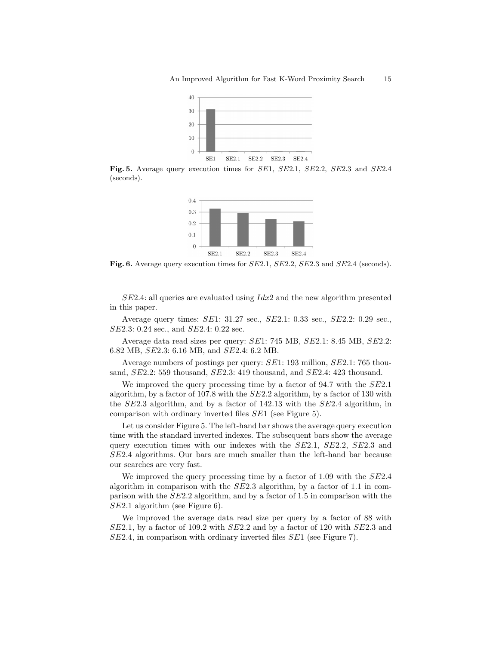

Fig. 5. Average query execution times for SE1, SE2.1, SE2.2, SE2.3 and SE2.4 (seconds).



Fig. 6. Average query execution times for SE2.1, SE2.2, SE2.3 and SE2.4 (seconds).

 $SE2.4$ : all queries are evaluated using  $Idx2$  and the new algorithm presented in this paper.

Average query times: SE1: 31.27 sec., SE2.1: 0.33 sec., SE2.2: 0.29 sec., SE2.3: 0.24 sec., and SE2.4: 0.22 sec.

Average data read sizes per query: SE1: 745 MB, SE2.1: 8.45 MB, SE2.2: 6.82 MB, SE2.3: 6.16 MB, and SE2.4: 6.2 MB.

Average numbers of postings per query: SE1: 193 million, SE2.1: 765 thousand, SE2.2: 559 thousand, SE2.3: 419 thousand, and SE2.4: 423 thousand.

We improved the query processing time by a factor of 94.7 with the  $SE2.1$ algorithm, by a factor of 107.8 with the SE2.2 algorithm, by a factor of 130 with the SE2.3 algorithm, and by a factor of 142.13 with the SE2.4 algorithm, in comparison with ordinary inverted files SE1 (see Figure 5).

Let us consider Figure 5. The left-hand bar shows the average query execution time with the standard inverted indexes. The subsequent bars show the average query execution times with our indexes with the SE2.1, SE2.2, SE2.3 and SE2.4 algorithms. Our bars are much smaller than the left-hand bar because our searches are very fast.

We improved the query processing time by a factor of 1.09 with the SE2.4 algorithm in comparison with the  $SE2.3$  algorithm, by a factor of 1.1 in comparison with the SE2.2 algorithm, and by a factor of 1.5 in comparison with the SE2.1 algorithm (see Figure 6).

We improved the average data read size per query by a factor of 88 with SE2.1, by a factor of 109.2 with SE2.2 and by a factor of 120 with SE2.3 and SE2.4, in comparison with ordinary inverted files SE1 (see Figure 7).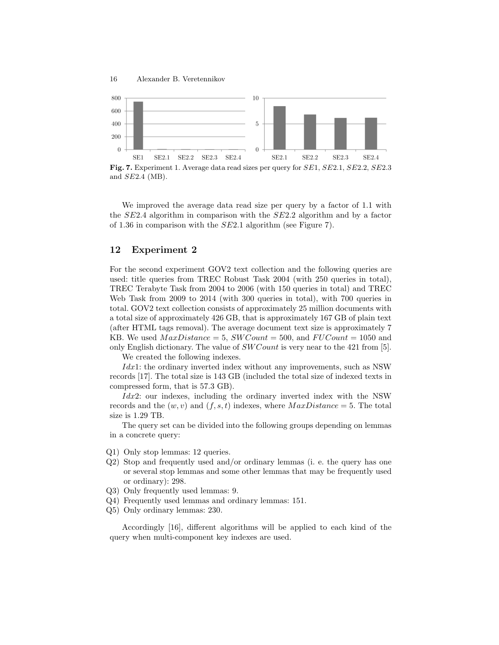

Fig. 7. Experiment 1. Average data read sizes per query for SE1, SE2.1, SE2.2, SE2.3 and SE2.4 (MB).

We improved the average data read size per query by a factor of 1.1 with the SE2.4 algorithm in comparison with the SE2.2 algorithm and by a factor of 1.36 in comparison with the SE2.1 algorithm (see Figure 7).

# 12 Experiment 2

For the second experiment GOV2 text collection and the following queries are used: title queries from TREC Robust Task 2004 (with 250 queries in total), TREC Terabyte Task from 2004 to 2006 (with 150 queries in total) and TREC Web Task from 2009 to 2014 (with 300 queries in total), with 700 queries in total. GOV2 text collection consists of approximately 25 million documents with a total size of approximately 426 GB, that is approximately 167 GB of plain text (after HTML tags removal). The average document text size is approximately 7 KB. We used  $MaxDistance = 5$ , SWCount = 500, and FUCount = 1050 and only English dictionary. The value of  $SWCount$  is very near to the 421 from [5].

We created the following indexes.

 $Idx1$ : the ordinary inverted index without any improvements, such as NSW records [17]. The total size is 143 GB (included the total size of indexed texts in compressed form, that is 57.3 GB).

Idx2: our indexes, including the ordinary inverted index with the NSW records and the  $(w, v)$  and  $(f, s, t)$  indexes, where  $MaxDistance = 5$ . The total size is 1.29 TB.

The query set can be divided into the following groups depending on lemmas in a concrete query:

- Q1) Only stop lemmas: 12 queries.
- Q2) Stop and frequently used and/or ordinary lemmas (i. e. the query has one or several stop lemmas and some other lemmas that may be frequently used or ordinary): 298.
- Q3) Only frequently used lemmas: 9.
- Q4) Frequently used lemmas and ordinary lemmas: 151.
- Q5) Only ordinary lemmas: 230.

Accordingly [16], different algorithms will be applied to each kind of the query when multi-component key indexes are used.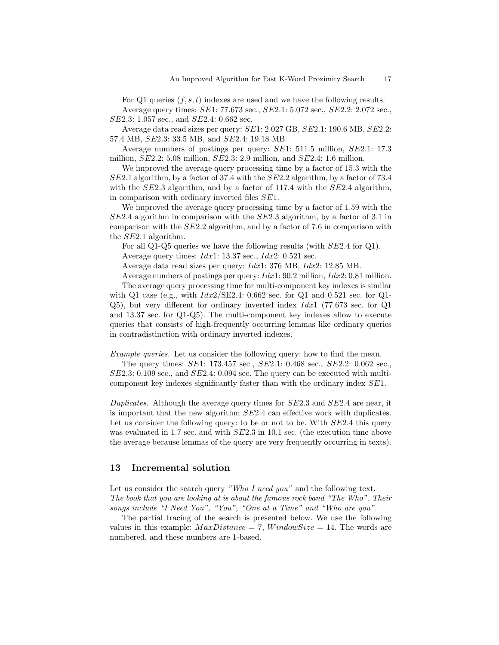For  $Q1$  queries  $(f, s, t)$  indexes are used and we have the following results.

Average query times: SE1: 77.673 sec., SE2.1: 5.072 sec., SE2.2: 2.072 sec., SE2.3: 1.057 sec., and SE2.4: 0.662 sec.

Average data read sizes per query: SE1: 2.027 GB, SE2.1: 190.6 MB, SE2.2: 57.4 MB, SE2.3: 33.5 MB, and SE2.4: 19.18 MB.

Average numbers of postings per query: SE1: 511.5 million, SE2.1: 17.3 million,  $SE2.2: 5.08$  million,  $SE2.3: 2.9$  million, and  $SE2.4: 1.6$  million.

We improved the average query processing time by a factor of 15.3 with the  $SE2.1$  algorithm, by a factor of 37.4 with the  $SE2.2$  algorithm, by a factor of 73.4 with the  $SE2.3$  algorithm, and by a factor of 117.4 with the  $SE2.4$  algorithm, in comparison with ordinary inverted files SE1.

We improved the average query processing time by a factor of 1.59 with the  $SE2.4$  algorithm in comparison with the  $SE2.3$  algorithm, by a factor of 3.1 in comparison with the SE2.2 algorithm, and by a factor of 7.6 in comparison with the SE2.1 algorithm.

For all Q1-Q5 queries we have the following results (with SE2.4 for Q1). Average query times:  $Idx1: 13.37$  sec.,  $Idx2: 0.521$  sec.

Average data read sizes per query: Idx1: 376 MB, Idx2: 12.85 MB.

Average numbers of postings per query: Idx1: 90.2 million, Idx2: 0.81 million.

The average query processing time for multi-component key indexes is similar with Q1 case (e.g., with  $Idx2/\text{SE}2.4: 0.662$  sec. for Q1 and 0.521 sec. for Q1- $Q5$ ), but very different for ordinary inverted index  $Idx1$  (77.673 sec. for  $Q1$ and 13.37 sec. for Q1-Q5). The multi-component key indexes allow to execute queries that consists of high-frequently occurring lemmas like ordinary queries in contradistinction with ordinary inverted indexes.

Example queries. Let us consider the following query: how to find the mean.

The query times: SE1: 173.457 sec., SE2.1: 0.468 sec., SE2.2: 0.062 sec.,  $SE2.3: 0.109$  sec., and  $SE2.4: 0.094$  sec. The query can be executed with multicomponent key indexes significantly faster than with the ordinary index SE1.

Duplicates. Although the average query times for  $SE2.3$  and  $SE2.4$  are near, it is important that the new algorithm SE2.4 can effective work with duplicates. Let us consider the following query: to be or not to be. With  $SE2.4$  this query was evaluated in 1.7 sec. and with  $SE2.3$  in 10.1 sec. (the execution time above the average because lemmas of the query are very frequently occurring in texts).

### 13 Incremental solution

Let us consider the search query "Who I need you" and the following text. The book that you are looking at is about the famous rock band "The Who". Their songs include "I Need You", "You", "One at a Time" and "Who are you".

The partial tracing of the search is presented below. We use the following values in this example:  $MaxDistance = 7$ ,  $WindowSize = 14$ . The words are numbered, and these numbers are 1-based.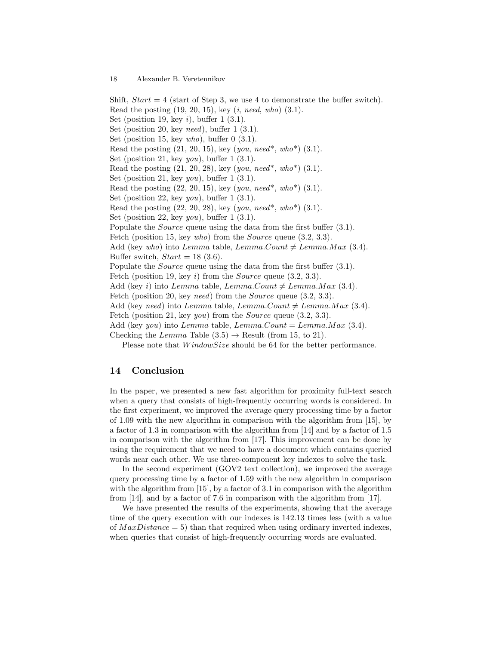Shift,  $Start = 4$  (start of Step 3, we use 4 to demonstrate the buffer switch). Read the posting  $(19, 20, 15)$ , key  $(i, need, who) (3.1)$ . Set (position 19, key i), buffer 1  $(3.1)$ . Set (position 20, key need), buffer 1 (3.1). Set (position 15, key  $who$ ), buffer 0 (3.1). Read the posting  $(21, 20, 15)$ , key  $(you, need^*, who^*)$   $(3.1)$ . Set (position 21, key *you*), buffer 1  $(3.1)$ . Read the posting  $(21, 20, 28)$ , key  $(you, need^*, who^*)$   $(3.1)$ . Set (position 21, key *you*), buffer 1  $(3.1)$ . Read the posting  $(22, 20, 15)$ , key  $(you, need^*, who^*)$   $(3.1)$ . Set (position 22, key  $you$ ), buffer 1 (3.1). Read the posting  $(22, 20, 28)$ , key  $(you, need^*, who^*) (3.1)$ . Set (position 22, key *you*), buffer  $1$  (3.1). Populate the *Source* queue using the data from the first buffer (3.1). Fetch (position 15, key who) from the Source queue  $(3.2, 3.3)$ . Add (key who) into Lemma table, Lemma.Count  $\neq$  Lemma.M ax (3.4). Buffer switch,  $Start = 18$  (3.6). Populate the *Source* queue using the data from the first buffer  $(3.1)$ . Fetch (position 19, key *i*) from the *Source* queue (3.2, 3.3). Add (key *i*) into Lemma table, Lemma.Count  $\neq$  Lemma.Max (3.4). Fetch (position 20, key need) from the Source queue  $(3.2, 3.3)$ . Add (key need) into Lemma table, Lemma.Count  $\neq$  Lemma.M ax (3.4). Fetch (position 21, key *you*) from the *Source* queue (3.2, 3.3). Add (key you) into Lemma table, Lemma.Count = Lemma.Max  $(3.4)$ . Checking the Lemma Table  $(3.5) \rightarrow$  Result (from 15, to 21).

Please note that  $WindowSize$  should be 64 for the better performance.

# 14 Conclusion

In the paper, we presented a new fast algorithm for proximity full-text search when a query that consists of high-frequently occurring words is considered. In the first experiment, we improved the average query processing time by a factor of 1.09 with the new algorithm in comparison with the algorithm from [15], by a factor of 1.3 in comparison with the algorithm from [14] and by a factor of 1.5 in comparison with the algorithm from [17]. This improvement can be done by using the requirement that we need to have a document which contains queried words near each other. We use three-component key indexes to solve the task.

In the second experiment (GOV2 text collection), we improved the average query processing time by a factor of 1.59 with the new algorithm in comparison with the algorithm from [15], by a factor of 3.1 in comparison with the algorithm from [14], and by a factor of 7.6 in comparison with the algorithm from [17].

We have presented the results of the experiments, showing that the average time of the query execution with our indexes is 142.13 times less (with a value of  $MaxDistance = 5$ ) than that required when using ordinary inverted indexes, when queries that consist of high-frequently occurring words are evaluated.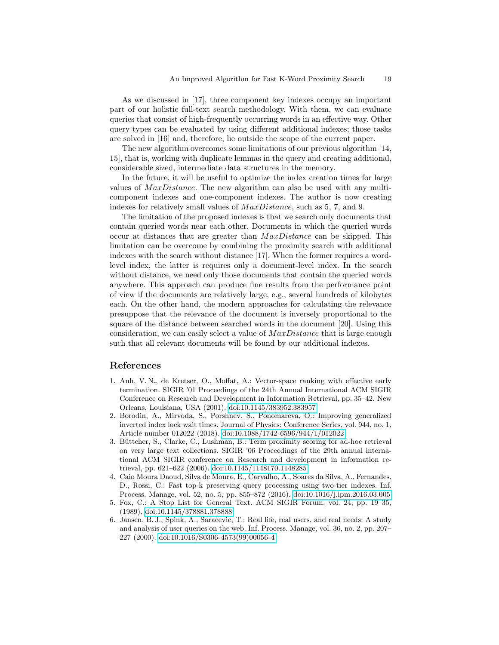As we discussed in [17], three component key indexes occupy an important part of our holistic full-text search methodology. With them, we can evaluate queries that consist of high-frequently occurring words in an effective way. Other query types can be evaluated by using different additional indexes; those tasks are solved in [16] and, therefore, lie outside the scope of the current paper.

The new algorithm overcomes some limitations of our previous algorithm [14, 15], that is, working with duplicate lemmas in the query and creating additional, considerable sized, intermediate data structures in the memory.

In the future, it will be useful to optimize the index creation times for large values of  $MaxDistance$ . The new algorithm can also be used with any multicomponent indexes and one-component indexes. The author is now creating indexes for relatively small values of  $MaxDistance$ , such as 5, 7, and 9.

The limitation of the proposed indexes is that we search only documents that contain queried words near each other. Documents in which the queried words occur at distances that are greater than  $MaxDistance$  can be skipped. This limitation can be overcome by combining the proximity search with additional indexes with the search without distance [17]. When the former requires a wordlevel index, the latter is requires only a document-level index. In the search without distance, we need only those documents that contain the queried words anywhere. This approach can produce fine results from the performance point of view if the documents are relatively large, e.g., several hundreds of kilobytes each. On the other hand, the modern approaches for calculating the relevance presuppose that the relevance of the document is inversely proportional to the square of the distance between searched words in the document [20]. Using this consideration, we can easily select a value of  $MaxDistance$  that is large enough such that all relevant documents will be found by our additional indexes.

### References

- 1. Anh, V. N., de Kretser, O., Moffat, A.: Vector-space ranking with effective early termination. SIGIR '01 Proceedings of the 24th Annual International ACM SIGIR Conference on Research and Development in Information Retrieval, pp. 35–42. New Orleans, Louisiana, USA (2001).<doi:10.1145/383952.383957>
- 2. Borodin, A., Mirvoda, S., Porshnev, S., Ponomareva, O.: Improving generalized inverted index lock wait times. Journal of Physics: Conference Series, vol. 944, no. 1, Article number 012022 (2018).<doi:10.1088/1742-6596/944/1/012022>
- 3. Büttcher, S., Clarke, C., Lushman, B.: Term proximity scoring for ad-hoc retrieval on very large text collections. SIGIR '06 Proceedings of the 29th annual international ACM SIGIR conference on Research and development in information retrieval, pp. 621–622 (2006).<doi:10.1145/1148170.1148285>
- 4. Caio Moura Daoud, Silva de Moura, E., Carvalho, A., Soares da Silva, A., Fernandes, D., Rossi, C.: Fast top-k preserving query processing using two-tier indexes. Inf. Process. Manage, vol. 52, no. 5, pp. 855–872 (2016).<doi:10.1016/j.ipm.2016.03.005>
- 5. Fox, C.: A Stop List for General Text. ACM SIGIR Forum, vol. 24, pp. 19–35, (1989).<doi:10.1145/378881.378888>
- 6. Jansen, B. J., Spink, A., Saracevic, T.: Real life, real users, and real needs: A study and analysis of user queries on the web. Inf. Process. Manage, vol. 36, no. 2, pp. 207– 227 (2000). [doi:10.1016/S0306-4573\(99\)00056-4](doi:10.1016/S0306-4573(99)00056-4)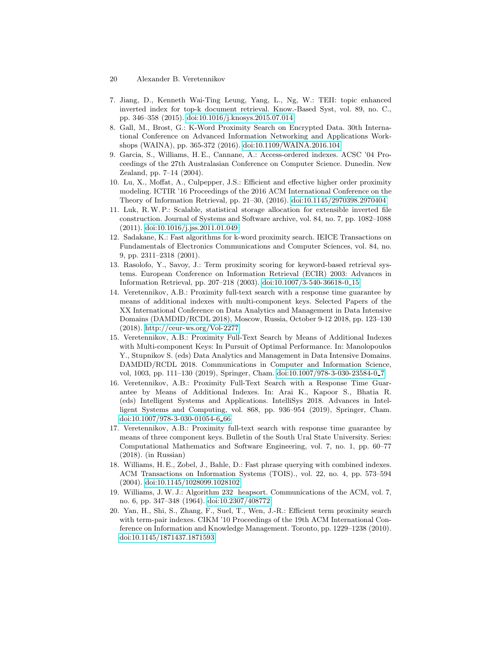- 20 Alexander B. Veretennikov
- 7. Jiang, D., Kenneth Wai-Ting Leung, Yang, L., Ng, W.: TEII: topic enhanced inverted index for top-k document retrieval. Know.-Based Syst, vol. 89, no. C., pp. 346–358 (2015).<doi:10.1016/j.knosys.2015.07.014>
- 8. Gall, M., Brost, G.: K-Word Proximity Search on Encrypted Data. 30th International Conference on Advanced Information Networking and Applications Workshops (WAINA), pp. 365-372 (2016). [doi:10.1109/WAINA.2016.104](doi:10.1 109/WAINA.2016.104)
- 9. Garcia, S., Williams, H. E., Cannane, A.: Access-ordered indexes. ACSC '04 Proceedings of the 27th Australasian Conference on Computer Science. Dunedin. New Zealand, pp. 7–14 (2004).
- 10. Lu, X., Moffat, A., Culpepper, J.S.: Efficient and effective higher order proximity modeling. ICTIR '16 Proceedings of the 2016 ACM International Conference on the Theory of Information Retrieval, pp. 21–30, (2016).<doi:10.1145/2970398.2970404>
- 11. Luk, R.W. P.: Scalable, statistical storage allocation for extensible inverted file construction. Journal of Systems and Software archive, vol. 84, no. 7, pp. 1082–1088 (2011).<doi:10.1016/j.jss.2011.01.049>
- 12. Sadakane, K.: Fast algorithms for k-word proximity search. IEICE Transactions on Fundamentals of Electronics Communications and Computer Sciences, vol. 84, no. 9, pp. 2311–2318 (2001).
- 13. Rasolofo, Y., Savoy, J.: Term proximity scoring for keyword-based retrieval systems. European Conference on Information Retrieval (ECIR) 2003: Advances in Information Retrieval, pp. 207–218 (2003). [doi:10.1007/3-540-36618-0](doi:10.1007/3-540-36618-0_15) 15
- 14. Veretennikov, A.B.: Proximity full-text search with a response time guarantee by means of additional indexes with multi-component keys. Selected Papers of the XX International Conference on Data Analytics and Management in Data Intensive Domains (DAMDID/RCDL 2018), Moscow, Russia, October 9-12 2018, pp. 123–130 (2018).<http://ceur-ws.org/Vol-2277>
- 15. Veretennikov, A.B.: Proximity Full-Text Search by Means of Additional Indexes with Multi-component Keys: In Pursuit of Optimal Performance. In: Manolopoulos Y., Stupnikov S. (eds) Data Analytics and Management in Data Intensive Domains. DAMDID/RCDL 2018. Communications in Computer and Information Science, vol, 1003, pp. 111–130 (2019), Springer, Cham. [doi:10.1007/978-3-030-23584-0](doi:10.1007/978-3-030-23584-0_7) 7
- 16. Veretennikov, A.B.: Proximity Full-Text Search with a Response Time Guarantee by Means of Additional Indexes. In: Arai K., Kapoor S., Bhatia R. (eds) Intelligent Systems and Applications. IntelliSys 2018. Advances in Intelligent Systems and Computing, vol. 868, pp. 936–954 (2019), Springer, Cham. [doi:10.1007/978-3-030-01054-6](doi:10.1007/978-3-030-01054-6_66) 66
- 17. Veretennikov, A.B.: Proximity full-text search with response time guarantee by means of three component keys. Bulletin of the South Ural State University. Series: Computational Mathematics and Software Engineering, vol. 7, no. 1, pp. 60–77 (2018). (in Russian)
- 18. Williams, H. E., Zobel, J., Bahle, D.: Fast phrase querying with combined indexes. ACM Transactions on Information Systems (TOIS)., vol. 22, no. 4, pp. 573–594 (2004).<doi:10.1145/1028099.1028102>
- 19. Williams, J. W. J.: Algorithm 232 heapsort. Communications of the ACM, vol. 7, no. 6, pp. 347–348 (1964).<doi:10.2307/408772>
- 20. Yan, H., Shi, S., Zhang, F., Suel, T., Wen, J.-R.: Efficient term proximity search with term-pair indexes. CIKM '10 Proceedings of the 19th ACM International Conference on Information and Knowledge Management. Toronto, pp. 1229–1238 (2010). <doi:10.1145/1871437.1871593>